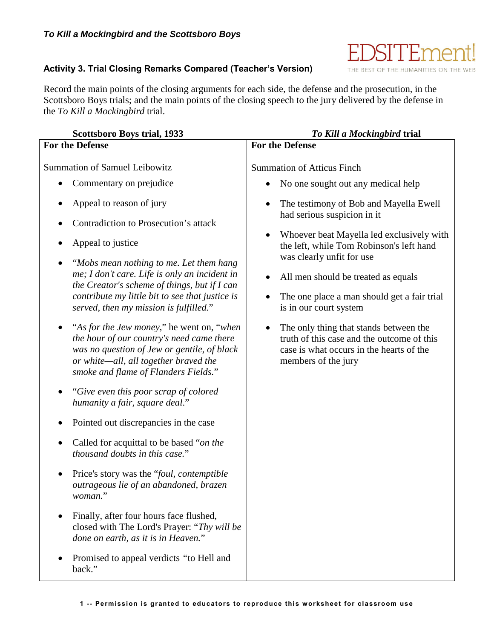## **Activity 3. Trial Closing Remarks Compared (Teacher's Version)**

Record the main points of the closing arguments for each side, the defense and the prosecution, in the Scottsboro Boys trials; and the main points of the closing speech to the jury delivered by the defense in the *To Kill a Mockingbird* trial.